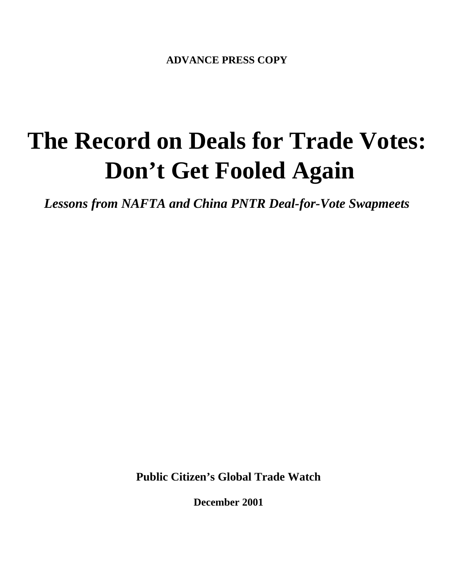**ADVANCE PRESS COPY**

# **The Record on Deals for Trade Votes: Don't Get Fooled Again**

*Lessons from NAFTA and China PNTR Deal-for-Vote Swapmeets*

**Public Citizen's Global Trade Watch**

**December 2001**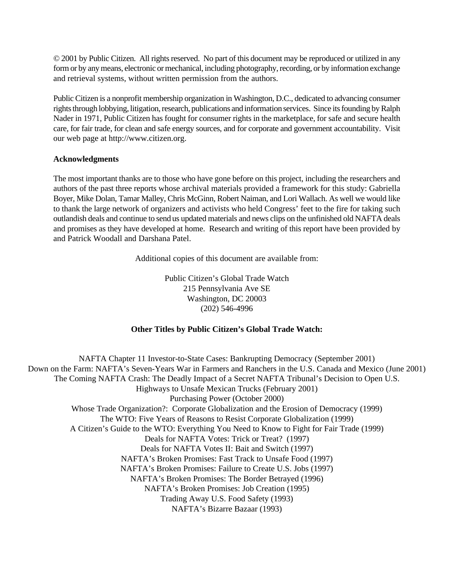© 2001 by Public Citizen. All rights reserved. No part of this document may be reproduced or utilized in any form or by any means, electronic or mechanical, including photography, recording, or by information exchange and retrieval systems, without written permission from the authors.

Public Citizen is a nonprofit membership organization in Washington, D.C., dedicated to advancing consumer rights through lobbying, litigation, research, publications and information services. Since its founding by Ralph Nader in 1971, Public Citizen has fought for consumer rights in the marketplace, for safe and secure health care, for fair trade, for clean and safe energy sources, and for corporate and government accountability. Visit our web page at http://www.citizen.org.

#### **Acknowledgments**

The most important thanks are to those who have gone before on this project, including the researchers and authors of the past three reports whose archival materials provided a framework for this study: Gabriella Boyer, Mike Dolan, Tamar Malley, Chris McGinn, Robert Naiman, and Lori Wallach. As well we would like to thank the large network of organizers and activists who held Congress' feet to the fire for taking such outlandish deals and continue to send us updated materials and news clips on the unfinished old NAFTA deals and promises as they have developed at home. Research and writing of this report have been provided by and Patrick Woodall and Darshana Patel.

Additional copies of this document are available from:

Public Citizen's Global Trade Watch 215 Pennsylvania Ave SE Washington, DC 20003 (202) 546-4996

#### **Other Titles by Public Citizen's Global Trade Watch:**

NAFTA Chapter 11 Investor-to-State Cases: Bankrupting Democracy (September 2001) Down on the Farm: NAFTA's Seven-Years War in Farmers and Ranchers in the U.S. Canada and Mexico (June 2001) The Coming NAFTA Crash: The Deadly Impact of a Secret NAFTA Tribunal's Decision to Open U.S. Highways to Unsafe Mexican Trucks (February 2001) Purchasing Power (October 2000) Whose Trade Organization?: Corporate Globalization and the Erosion of Democracy (1999) The WTO: Five Years of Reasons to Resist Corporate Globalization (1999) A Citizen's Guide to the WTO: Everything You Need to Know to Fight for Fair Trade (1999) Deals for NAFTA Votes: Trick or Treat? (1997) Deals for NAFTA Votes II: Bait and Switch (1997) NAFTA's Broken Promises: Fast Track to Unsafe Food (1997) NAFTA's Broken Promises: Failure to Create U.S. Jobs (1997) NAFTA's Broken Promises: The Border Betrayed (1996) NAFTA's Broken Promises: Job Creation (1995) Trading Away U.S. Food Safety (1993) NAFTA's Bizarre Bazaar (1993)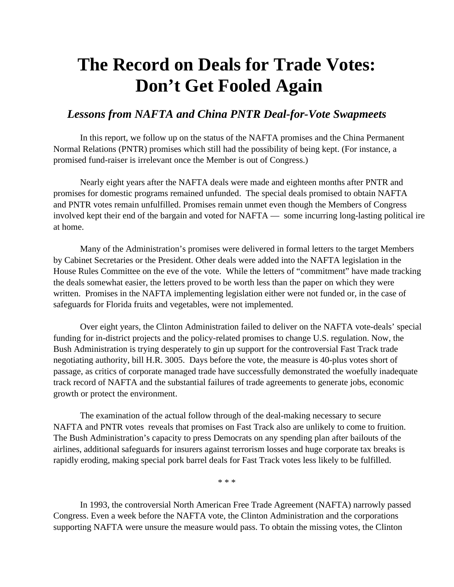## **The Record on Deals for Trade Votes: Don't Get Fooled Again**

#### *Lessons from NAFTA and China PNTR Deal-for-Vote Swapmeets*

In this report, we follow up on the status of the NAFTA promises and the China Permanent Normal Relations (PNTR) promises which still had the possibility of being kept. (For instance, a promised fund-raiser is irrelevant once the Member is out of Congress.)

Nearly eight years after the NAFTA deals were made and eighteen months after PNTR and promises for domestic programs remained unfunded. The special deals promised to obtain NAFTA and PNTR votes remain unfulfilled. Promises remain unmet even though the Members of Congress involved kept their end of the bargain and voted for NAFTA — some incurring long-lasting political ire at home.

Many of the Administration's promises were delivered in formal letters to the target Members by Cabinet Secretaries or the President. Other deals were added into the NAFTA legislation in the House Rules Committee on the eve of the vote. While the letters of "commitment" have made tracking the deals somewhat easier, the letters proved to be worth less than the paper on which they were written. Promises in the NAFTA implementing legislation either were not funded or, in the case of safeguards for Florida fruits and vegetables, were not implemented.

Over eight years, the Clinton Administration failed to deliver on the NAFTA vote-deals' special funding for in-district projects and the policy-related promises to change U.S. regulation. Now, the Bush Administration is trying desperately to gin up support for the controversial Fast Track trade negotiating authority, bill H.R. 3005. Days before the vote, the measure is 40-plus votes short of passage, as critics of corporate managed trade have successfully demonstrated the woefully inadequate track record of NAFTA and the substantial failures of trade agreements to generate jobs, economic growth or protect the environment.

The examination of the actual follow through of the deal-making necessary to secure NAFTA and PNTR votes reveals that promises on Fast Track also are unlikely to come to fruition. The Bush Administration's capacity to press Democrats on any spending plan after bailouts of the airlines, additional safeguards for insurers against terrorism losses and huge corporate tax breaks is rapidly eroding, making special pork barrel deals for Fast Track votes less likely to be fulfilled.

\* \* \*

In 1993, the controversial North American Free Trade Agreement (NAFTA) narrowly passed Congress. Even a week before the NAFTA vote, the Clinton Administration and the corporations supporting NAFTA were unsure the measure would pass. To obtain the missing votes, the Clinton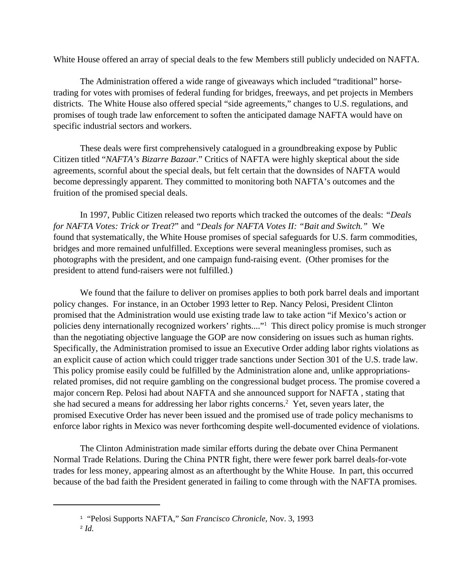White House offered an array of special deals to the few Members still publicly undecided on NAFTA.

The Administration offered a wide range of giveaways which included "traditional" horsetrading for votes with promises of federal funding for bridges, freeways, and pet projects in Members districts. The White House also offered special "side agreements," changes to U.S. regulations, and promises of tough trade law enforcement to soften the anticipated damage NAFTA would have on specific industrial sectors and workers.

These deals were first comprehensively catalogued in a groundbreaking expose by Public Citizen titled "*NAFTA's Bizarre Bazaar*." Critics of NAFTA were highly skeptical about the side agreements, scornful about the special deals, but felt certain that the downsides of NAFTA would become depressingly apparent. They committed to monitoring both NAFTA's outcomes and the fruition of the promised special deals.

In 1997, Public Citizen released two reports which tracked the outcomes of the deals: *"Deals for NAFTA Votes: Trick or Treat*?" and *"Deals for NAFTA Votes II: "Bait and Switch."* We found that systematically, the White House promises of special safeguards for U.S. farm commodities, bridges and more remained unfulfilled. Exceptions were several meaningless promises, such as photographs with the president, and one campaign fund-raising event. (Other promises for the president to attend fund-raisers were not fulfilled.)

We found that the failure to deliver on promises applies to both pork barrel deals and important policy changes. For instance, in an October 1993 letter to Rep. Nancy Pelosi, President Clinton promised that the Administration would use existing trade law to take action "if Mexico's action or policies deny internationally recognized workers' rights...."<sup>1</sup> This direct policy promise is much stronger than the negotiating objective language the GOP are now considering on issues such as human rights. Specifically, the Administration promised to issue an Executive Order adding labor rights violations as an explicit cause of action which could trigger trade sanctions under Section 301 of the U.S. trade law. This policy promise easily could be fulfilled by the Administration alone and, unlike appropriationsrelated promises, did not require gambling on the congressional budget process. The promise covered a major concern Rep. Pelosi had about NAFTA and she announced support for NAFTA , stating that she had secured a means for addressing her labor rights concerns.<sup>2</sup> Yet, seven years later, the promised Executive Order has never been issued and the promised use of trade policy mechanisms to enforce labor rights in Mexico was never forthcoming despite well-documented evidence of violations.

The Clinton Administration made similar efforts during the debate over China Permanent Normal Trade Relations. During the China PNTR fight, there were fewer pork barrel deals-for-vote trades for less money, appearing almost as an afterthought by the White House. In part, this occurred because of the bad faith the President generated in failing to come through with the NAFTA promises.

<sup>&</sup>lt;sup>1</sup> "Pelosi Supports NAFTA," San Francisco Chronicle, Nov. 3, 1993

 $\mathbb{Z}$  *Id.*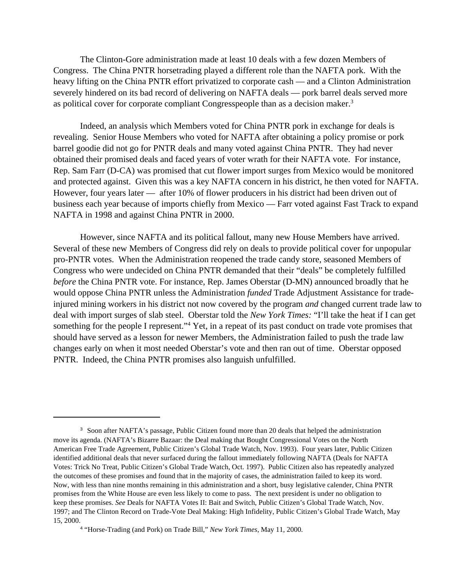The Clinton-Gore administration made at least 10 deals with a few dozen Members of Congress. The China PNTR horsetrading played a different role than the NAFTA pork. With the heavy lifting on the China PNTR effort privatized to corporate cash — and a Clinton Administration severely hindered on its bad record of delivering on NAFTA deals — pork barrel deals served more as political cover for corporate compliant Congresspeople than as a decision maker.<sup>3</sup>

Indeed, an analysis which Members voted for China PNTR pork in exchange for deals is revealing. Senior House Members who voted for NAFTA after obtaining a policy promise or pork barrel goodie did not go for PNTR deals and many voted against China PNTR. They had never obtained their promised deals and faced years of voter wrath for their NAFTA vote. For instance, Rep. Sam Farr (D-CA) was promised that cut flower import surges from Mexico would be monitored and protected against. Given this was a key NAFTA concern in his district, he then voted for NAFTA. However, four years later — after 10% of flower producers in his district had been driven out of business each year because of imports chiefly from Mexico — Farr voted against Fast Track to expand NAFTA in 1998 and against China PNTR in 2000.

However, since NAFTA and its political fallout, many new House Members have arrived. Several of these new Members of Congress did rely on deals to provide political cover for unpopular pro-PNTR votes. When the Administration reopened the trade candy store, seasoned Members of Congress who were undecided on China PNTR demanded that their "deals" be completely fulfilled *before* the China PNTR vote. For instance, Rep. James Oberstar (D-MN) announced broadly that he would oppose China PNTR unless the Administration *funded* Trade Adjustment Assistance for tradeinjured mining workers in his district not now covered by the program *and* changed current trade law to deal with import surges of slab steel. Oberstar told the *New York Times:* "I'll take the heat if I can get something for the people I represent."<sup>4</sup> Yet, in a repeat of its past conduct on trade vote promises that should have served as a lesson for newer Members, the Administration failed to push the trade law changes early on when it most needed Oberstar's vote and then ran out of time. Oberstar opposed PNTR. Indeed, the China PNTR promises also languish unfulfilled.

<sup>&</sup>lt;sup>3</sup> Soon after NAFTA's passage, Public Citizen found more than 20 deals that helped the administration move its agenda. (NAFTA's Bizarre Bazaar: the Deal making that Bought Congressional Votes on the North American Free Trade Agreement, Public Citizen's Global Trade Watch, Nov. 1993). Four years later, Public Citizen identified additional deals that never surfaced during the fallout immediately following NAFTA (Deals for NAFTA Votes: Trick No Treat, Public Citizen's Global Trade Watch, Oct. 1997). Public Citizen also has repeatedly analyzed the outcomes of these promises and found that in the majority of cases, the administration failed to keep its word. Now, with less than nine months remaining in this administration and a short, busy legislative calender, China PNTR promises from the White House are even less likely to come to pass. The next president is under no obligation to keep these promises. *See* Deals for NAFTA Votes II: Bait and Switch, Public Citizen's Global Trade Watch, Nov. 1997; and The Clinton Record on Trade-Vote Deal Making: High Infidelity, Public Citizen's Global Trade Watch, May 15, 2000.

<sup>&</sup>lt;sup>4</sup> "Horse-Trading (and Pork) on Trade Bill," *New York Times*, May 11, 2000.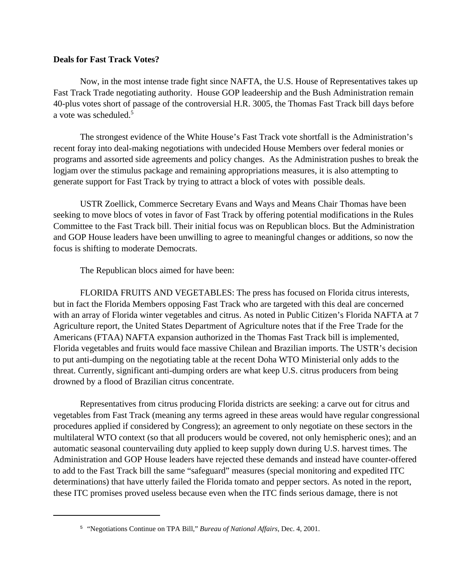#### **Deals for Fast Track Votes?**

Now, in the most intense trade fight since NAFTA, the U.S. House of Representatives takes up Fast Track Trade negotiating authority. House GOP leadeership and the Bush Administration remain 40-plus votes short of passage of the controversial H.R. 3005, the Thomas Fast Track bill days before a vote was scheduled.<sup>5</sup>

The strongest evidence of the White House's Fast Track vote shortfall is the Administration's recent foray into deal-making negotiations with undecided House Members over federal monies or programs and assorted side agreements and policy changes. As the Administration pushes to break the logjam over the stimulus package and remaining appropriations measures, it is also attempting to generate support for Fast Track by trying to attract a block of votes with possible deals.

USTR Zoellick, Commerce Secretary Evans and Ways and Means Chair Thomas have been seeking to move blocs of votes in favor of Fast Track by offering potential modifications in the Rules Committee to the Fast Track bill. Their initial focus was on Republican blocs. But the Administration and GOP House leaders have been unwilling to agree to meaningful changes or additions, so now the focus is shifting to moderate Democrats.

The Republican blocs aimed for have been:

FLORIDA FRUITS AND VEGETABLES: The press has focused on Florida citrus interests, but in fact the Florida Members opposing Fast Track who are targeted with this deal are concerned with an array of Florida winter vegetables and citrus. As noted in Public Citizen's Florida NAFTA at 7 Agriculture report, the United States Department of Agriculture notes that if the Free Trade for the Americans (FTAA) NAFTA expansion authorized in the Thomas Fast Track bill is implemented, Florida vegetables and fruits would face massive Chilean and Brazilian imports. The USTR's decision to put anti-dumping on the negotiating table at the recent Doha WTO Ministerial only adds to the threat. Currently, significant anti-dumping orders are what keep U.S. citrus producers from being drowned by a flood of Brazilian citrus concentrate.

Representatives from citrus producing Florida districts are seeking: a carve out for citrus and vegetables from Fast Track (meaning any terms agreed in these areas would have regular congressional procedures applied if considered by Congress); an agreement to only negotiate on these sectors in the multilateral WTO context (so that all producers would be covered, not only hemispheric ones); and an automatic seasonal countervailing duty applied to keep supply down during U.S. harvest times. The Administration and GOP House leaders have rejected these demands and instead have counter-offered to add to the Fast Track bill the same "safeguard" measures (special monitoring and expedited ITC determinations) that have utterly failed the Florida tomato and pepper sectors. As noted in the report, these ITC promises proved useless because even when the ITC finds serious damage, there is not

<sup>&</sup>lt;sup>5</sup> "Negotiations Continue on TPA Bill," *Bureau of National Affairs*, Dec. 4, 2001.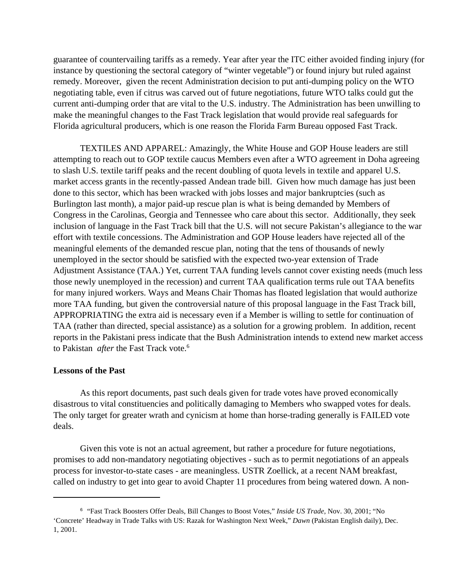guarantee of countervailing tariffs as a remedy. Year after year the ITC either avoided finding injury (for instance by questioning the sectoral category of "winter vegetable") or found injury but ruled against remedy. Moreover, given the recent Administration decision to put anti-dumping policy on the WTO negotiating table, even if citrus was carved out of future negotiations, future WTO talks could gut the current anti-dumping order that are vital to the U.S. industry. The Administration has been unwilling to make the meaningful changes to the Fast Track legislation that would provide real safeguards for Florida agricultural producers, which is one reason the Florida Farm Bureau opposed Fast Track.

TEXTILES AND APPAREL: Amazingly, the White House and GOP House leaders are still attempting to reach out to GOP textile caucus Members even after a WTO agreement in Doha agreeing to slash U.S. textile tariff peaks and the recent doubling of quota levels in textile and apparel U.S. market access grants in the recently-passed Andean trade bill. Given how much damage has just been done to this sector, which has been wracked with jobs losses and major bankruptcies (such as Burlington last month), a major paid-up rescue plan is what is being demanded by Members of Congress in the Carolinas, Georgia and Tennessee who care about this sector. Additionally, they seek inclusion of language in the Fast Track bill that the U.S. will not secure Pakistan's allegiance to the war effort with textile concessions. The Administration and GOP House leaders have rejected all of the meaningful elements of the demanded rescue plan, noting that the tens of thousands of newly unemployed in the sector should be satisfied with the expected two-year extension of Trade Adjustment Assistance (TAA.) Yet, current TAA funding levels cannot cover existing needs (much less those newly unemployed in the recession) and current TAA qualification terms rule out TAA benefits for many injured workers. Ways and Means Chair Thomas has floated legislation that would authorize more TAA funding, but given the controversial nature of this proposal language in the Fast Track bill, APPROPRIATING the extra aid is necessary even if a Member is willing to settle for continuation of TAA (rather than directed, special assistance) as a solution for a growing problem. In addition, recent reports in the Pakistani press indicate that the Bush Administration intends to extend new market access to Pakistan *after* the Fast Track vote.<sup>6</sup>

#### **Lessons of the Past**

As this report documents, past such deals given for trade votes have proved economically disastrous to vital constituencies and politically damaging to Members who swapped votes for deals. The only target for greater wrath and cynicism at home than horse-trading generally is FAILED vote deals.

Given this vote is not an actual agreement, but rather a procedure for future negotiations, promises to add non-mandatory negotiating objectives - such as to permit negotiations of an appeals process for investor-to-state cases - are meaningless. USTR Zoellick, at a recent NAM breakfast, called on industry to get into gear to avoid Chapter 11 procedures from being watered down. A non-

<sup>&</sup>lt;sup>6</sup> "Fast Track Boosters Offer Deals, Bill Changes to Boost Votes," *Inside US Trade*, Nov. 30, 2001; "No 'Concrete' Headway in Trade Talks with US: Razak for Washington Next Week," *Dawn* (Pakistan English daily), Dec. 1, 2001.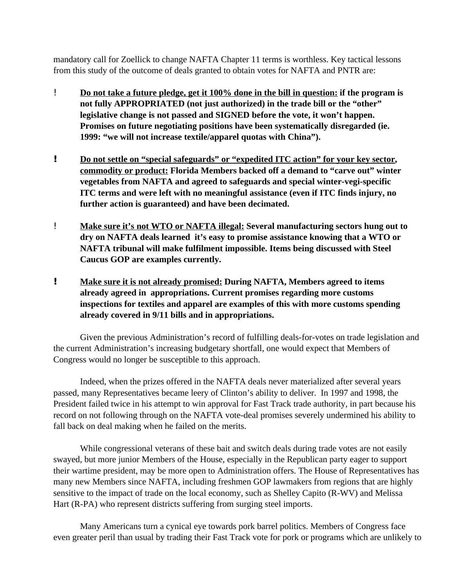mandatory call for Zoellick to change NAFTA Chapter 11 terms is worthless. Key tactical lessons from this study of the outcome of deals granted to obtain votes for NAFTA and PNTR are:

- ! **Do not take a future pledge, get it 100% done in the bill in question: if the program is not fully APPROPRIATED (not just authorized) in the trade bill or the "other" legislative change is not passed and SIGNED before the vote, it won't happen. Promises on future negotiating positions have been systematically disregarded (ie. 1999: "we will not increase textile/apparel quotas with China").**
- **! Do not settle on "special safeguards" or "expedited ITC action" for your key sector, commodity or product: Florida Members backed off a demand to "carve out" winter vegetables from NAFTA and agreed to safeguards and special winter-vegi-specific ITC terms and were left with no meaningful assistance (even if ITC finds injury, no further action is guaranteed) and have been decimated.**
- ! **Make sure it's not WTO or NAFTA illegal: Several manufacturing sectors hung out to dry on NAFTA deals learned it's easy to promise assistance knowing that a WTO or NAFTA tribunal will make fulfilment impossible. Items being discussed with Steel Caucus GOP are examples currently.**
- **! Make sure it is not already promised: During NAFTA, Members agreed to items already agreed in appropriations. Current promises regarding more customs inspections for textiles and apparel are examples of this with more customs spending already covered in 9/11 bills and in appropriations.**

Given the previous Administration's record of fulfilling deals-for-votes on trade legislation and the current Administration's increasing budgetary shortfall, one would expect that Members of Congress would no longer be susceptible to this approach.

Indeed, when the prizes offered in the NAFTA deals never materialized after several years passed, many Representatives became leery of Clinton's ability to deliver. In 1997 and 1998, the President failed twice in his attempt to win approval for Fast Track trade authority, in part because his record on not following through on the NAFTA vote-deal promises severely undermined his ability to fall back on deal making when he failed on the merits.

While congressional veterans of these bait and switch deals during trade votes are not easily swayed, but more junior Members of the House, especially in the Republican party eager to support their wartime president, may be more open to Administration offers. The House of Representatives has many new Members since NAFTA, including freshmen GOP lawmakers from regions that are highly sensitive to the impact of trade on the local economy, such as Shelley Capito (R-WV) and Melissa Hart (R-PA) who represent districts suffering from surging steel imports.

Many Americans turn a cynical eye towards pork barrel politics. Members of Congress face even greater peril than usual by trading their Fast Track vote for pork or programs which are unlikely to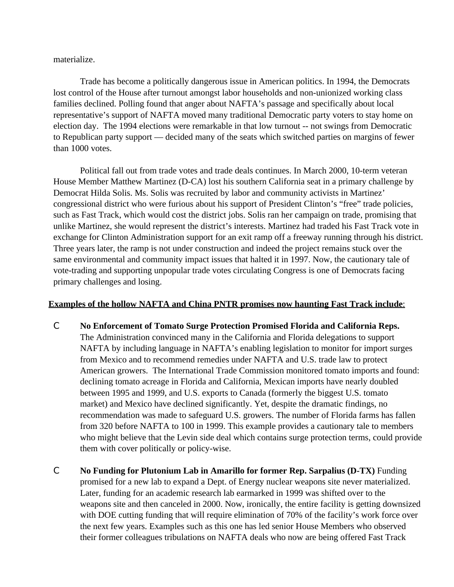materialize.

Trade has become a politically dangerous issue in American politics. In 1994, the Democrats lost control of the House after turnout amongst labor households and non-unionized working class families declined. Polling found that anger about NAFTA's passage and specifically about local representative's support of NAFTA moved many traditional Democratic party voters to stay home on election day. The 1994 elections were remarkable in that low turnout -- not swings from Democratic to Republican party support — decided many of the seats which switched parties on margins of fewer than 1000 votes.

Political fall out from trade votes and trade deals continues. In March 2000, 10-term veteran House Member Matthew Martinez (D-CA) lost his southern California seat in a primary challenge by Democrat Hilda Solis. Ms. Solis was recruited by labor and community activists in Martinez' congressional district who were furious about his support of President Clinton's "free" trade policies, such as Fast Track, which would cost the district jobs. Solis ran her campaign on trade, promising that unlike Martinez, she would represent the district's interests. Martinez had traded his Fast Track vote in exchange for Clinton Administration support for an exit ramp off a freeway running through his district. Three years later, the ramp is not under construction and indeed the project remains stuck over the same environmental and community impact issues that halted it in 1997. Now, the cautionary tale of vote-trading and supporting unpopular trade votes circulating Congress is one of Democrats facing primary challenges and losing.

#### **Examples of the hollow NAFTA and China PNTR promises now haunting Fast Track include**:

- C **No Enforcement of Tomato Surge Protection Promised Florida and California Reps.** The Administration convinced many in the California and Florida delegations to support NAFTA by including language in NAFTA's enabling legislation to monitor for import surges from Mexico and to recommend remedies under NAFTA and U.S. trade law to protect American growers. The International Trade Commission monitored tomato imports and found: declining tomato acreage in Florida and California, Mexican imports have nearly doubled between 1995 and 1999, and U.S. exports to Canada (formerly the biggest U.S. tomato market) and Mexico have declined significantly. Yet, despite the dramatic findings, no recommendation was made to safeguard U.S. growers. The number of Florida farms has fallen from 320 before NAFTA to 100 in 1999. This example provides a cautionary tale to members who might believe that the Levin side deal which contains surge protection terms, could provide them with cover politically or policy-wise.
- C **No Funding for Plutonium Lab in Amarillo for former Rep. Sarpalius (D-TX)** Funding promised for a new lab to expand a Dept. of Energy nuclear weapons site never materialized. Later, funding for an academic research lab earmarked in 1999 was shifted over to the weapons site and then canceled in 2000. Now, ironically, the entire facility is getting downsized with DOE cutting funding that will require elimination of 70% of the facility's work force over the next few years. Examples such as this one has led senior House Members who observed their former colleagues tribulations on NAFTA deals who now are being offered Fast Track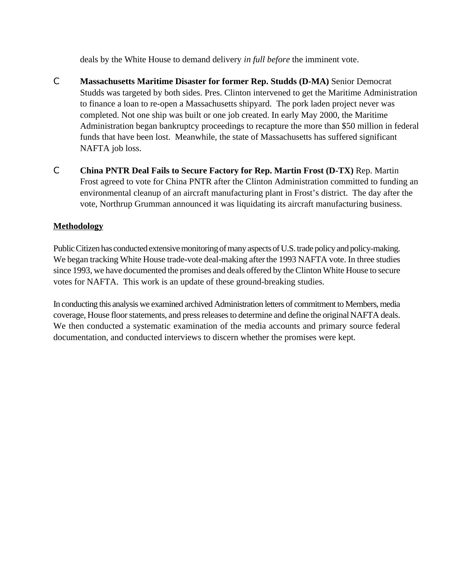deals by the White House to demand delivery *in full before* the imminent vote.

- C **Massachusetts Maritime Disaster for former Rep. Studds (D-MA)** Senior Democrat Studds was targeted by both sides. Pres. Clinton intervened to get the Maritime Administration to finance a loan to re-open a Massachusetts shipyard. The pork laden project never was completed. Not one ship was built or one job created. In early May 2000, the Maritime Administration began bankruptcy proceedings to recapture the more than \$50 million in federal funds that have been lost. Meanwhile, the state of Massachusetts has suffered significant NAFTA job loss.
- C **China PNTR Deal Fails to Secure Factory for Rep. Martin Frost (D-TX)** Rep. Martin Frost agreed to vote for China PNTR after the Clinton Administration committed to funding an environmental cleanup of an aircraft manufacturing plant in Frost's district. The day after the vote, Northrup Grumman announced it was liquidating its aircraft manufacturing business.

#### **Methodology**

Public Citizen has conducted extensive monitoring of many aspects of U.S. trade policy and policy-making. We began tracking White House trade-vote deal-making after the 1993 NAFTA vote. In three studies since 1993, we have documented the promises and deals offered by the Clinton White House to secure votes for NAFTA. This work is an update of these ground-breaking studies.

In conducting this analysis we examined archived Administration letters of commitment to Members, media coverage, House floor statements, and press releases to determine and define the original NAFTA deals. We then conducted a systematic examination of the media accounts and primary source federal documentation, and conducted interviews to discern whether the promises were kept.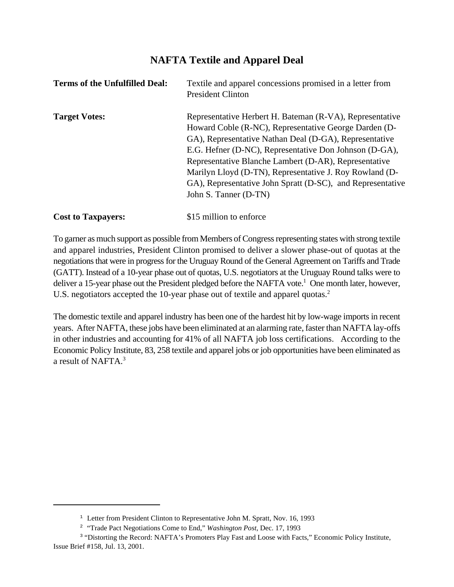### **NAFTA Textile and Apparel Deal**

| <b>Terms of the Unfulfilled Deal:</b> | Textile and apparel concessions promised in a letter from<br><b>President Clinton</b>                                                                                                                                                                                                                                                                                                                                                            |
|---------------------------------------|--------------------------------------------------------------------------------------------------------------------------------------------------------------------------------------------------------------------------------------------------------------------------------------------------------------------------------------------------------------------------------------------------------------------------------------------------|
| <b>Target Votes:</b>                  | Representative Herbert H. Bateman (R-VA), Representative<br>Howard Coble (R-NC), Representative George Darden (D-<br>GA), Representative Nathan Deal (D-GA), Representative<br>E.G. Hefner (D-NC), Representative Don Johnson (D-GA),<br>Representative Blanche Lambert (D-AR), Representative<br>Marilyn Lloyd (D-TN), Representative J. Roy Rowland (D-<br>GA), Representative John Spratt (D-SC), and Representative<br>John S. Tanner (D-TN) |
| <b>Cost to Taxpayers:</b>             | \$15 million to enforce                                                                                                                                                                                                                                                                                                                                                                                                                          |

To garner as much support as possible from Members of Congress representing states with strong textile and apparel industries, President Clinton promised to deliver a slower phase-out of quotas at the negotiations that were in progress for the Uruguay Round of the General Agreement on Tariffs and Trade (GATT). Instead of a 10-year phase out of quotas, U.S. negotiators at the Uruguay Round talks were to deliver a 15-year phase out the President pledged before the NAFTA vote.<sup>1</sup> One month later, however, U.S. negotiators accepted the 10-year phase out of textile and apparel quotas.<sup>2</sup>

The domestic textile and apparel industry has been one of the hardest hit by low-wage imports in recent years. After NAFTA, these jobs have been eliminated at an alarming rate, faster than NAFTA lay-offs in other industries and accounting for 41% of all NAFTA job loss certifications. According to the Economic Policy Institute, 83, 258 textile and apparel jobs or job opportunities have been eliminated as a result of NAFTA.3

<sup>&</sup>lt;sup>1</sup> Letter from President Clinton to Representative John M. Spratt, Nov. 16, 1993

<sup>&</sup>lt;sup>2</sup> "Trade Pact Negotiations Come to End," *Washington Post*, Dec. 17, 1993

<sup>&</sup>lt;sup>3</sup> "Distorting the Record: NAFTA's Promoters Play Fast and Loose with Facts," Economic Policy Institute, Issue Brief #158, Jul. 13, 2001.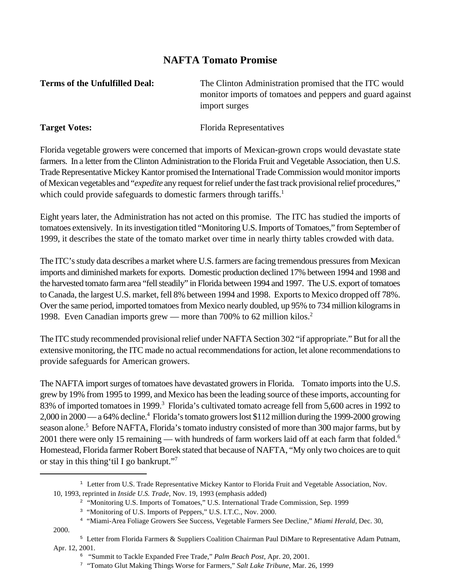#### **NAFTA Tomato Promise**

**Terms of the Unfulfilled Deal:** The Clinton Administration promised that the ITC would monitor imports of tomatoes and peppers and guard against import surges

Target Votes: Florida Representatives

Florida vegetable growers were concerned that imports of Mexican-grown crops would devastate state farmers. In a letter from the Clinton Administration to the Florida Fruit and Vegetable Association, then U.S. Trade Representative Mickey Kantor promised the International Trade Commission would monitor imports ofMexican vegetables and "*expedite* any request for relief under the fast track provisional relief procedures," which could provide safeguards to domestic farmers through tariffs.<sup>1</sup>

Eight years later, the Administration has not acted on this promise. The ITC has studied the imports of tomatoes extensively. In itsinvestigation titled "Monitoring U.S. Imports of Tomatoes," from September of 1999, it describes the state of the tomato market over time in nearly thirty tables crowded with data.

The ITC's study data describes a market where U.S. farmers are facing tremendous pressures from Mexican imports and diminished markets for exports. Domestic production declined 17% between 1994 and 1998 and the harvested tomato farm area "fell steadily" in Florida between 1994 and 1997. The U.S. export of tomatoes to Canada, the largest U.S. market, fell 8% between 1994 and 1998. Exports to Mexico dropped off 78%. Over the same period, imported tomatoes from Mexico nearly doubled, up 95% to 734 million kilograms in 1998. Even Canadian imports grew — more than 700% to 62 million kilos.<sup>2</sup>

The ITC study recommended provisional relief under NAFTA Section 302 "if appropriate." But for all the extensive monitoring, the ITC made no actual recommendations for action, let alone recommendations to provide safeguards for American growers.

The NAFTA import surges of tomatoes have devastated growers in Florida. Tomato imports into the U.S. grew by 19% from 1995 to 1999, and Mexico has been the leading source of these imports, accounting for 83% of imported tomatoes in 1999.<sup>3</sup> Florida's cultivated tomato acreage fell from 5,600 acres in 1992 to 2,000 in 2000 — a 64% decline.<sup>4</sup> Florida's tomato growers lost \$112 million during the 1999-2000 growing season alone.<sup>5</sup> Before NAFTA, Florida's tomato industry consisted of more than 300 major farms, but by 2001 there were only 15 remaining — with hundreds of farm workers laid off at each farm that folded.<sup>6</sup> Homestead, Florida farmer Robert Borek stated that because of NAFTA, "My only two choices are to quit or stay in this thing'til I go bankrupt."7

2000.

 $1$  Letter from U.S. Trade Representative Mickey Kantor to Florida Fruit and Vegetable Association, Nov. 10, 1993, reprinted in *Inside U.S. Trade*, Nov. 19, 1993 (emphasis added)

<sup>&</sup>lt;sup>2</sup> "Monitoring U.S. Imports of Tomatoes," U.S. International Trade Commission, Sep. 1999

<sup>&</sup>lt;sup>3</sup> "Monitoring of U.S. Imports of Peppers," U.S. I.T.C., Nov. 2000.

<sup>&</sup>quot;Miami-Area Foliage Growers See Success, Vegetable Farmers See Decline," *Miami Herald*, Dec. 30, <sup>4</sup>

<sup>&</sup>lt;sup>5</sup> Letter from Florida Farmers & Suppliers Coalition Chairman Paul DiMare to Representative Adam Putnam, Apr. 12, 2001.

<sup>&</sup>lt;sup>6</sup> "Summit to Tackle Expanded Free Trade," *Palm Beach Post*, Apr. 20, 2001.

<sup>&</sup>lt;sup>7</sup> "Tomato Glut Making Things Worse for Farmers," *Salt Lake Tribune*, Mar. 26, 1999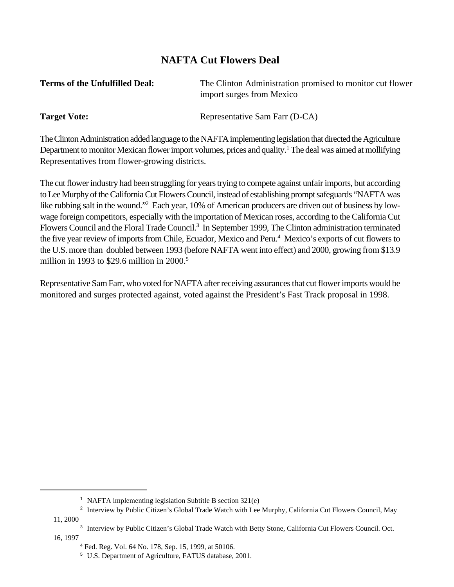### **NAFTA Cut Flowers Deal**

| <b>Terms of the Unfulfilled Deal:</b> | The Clinton Administration promised to monitor cut flower |
|---------------------------------------|-----------------------------------------------------------|
|                                       | import surges from Mexico                                 |
|                                       |                                                           |

**Target Vote:** Representative Sam Farr (D-CA)

The Clinton Administration added language to the NAFTA implementing legislation that directed the Agriculture Department to monitor Mexican flower import volumes, prices and quality.<sup>1</sup> The deal was aimed at mollifying Representatives from flower-growing districts.

The cut flower industry had been struggling for years trying to compete against unfair imports, but according to Lee Murphy of the California Cut Flowers Council, instead of establishing prompt safeguards "NAFTA was like rubbing salt in the wound."<sup>2</sup> Each year, 10% of American producers are driven out of business by lowwage foreign competitors, especially with the importation of Mexican roses, according to the California Cut Flowers Council and the Floral Trade Council.<sup>3</sup> In September 1999, The Clinton administration terminated the five year review of imports from Chile, Ecuador, Mexico and Peru.<sup>4</sup> Mexico's exports of cut flowers to the U.S. more than doubled between 1993 (before NAFTA went into effect) and 2000, growing from \$13.9 million in 1993 to \$29.6 million in 2000.<sup>5</sup>

Representative Sam Farr, who voted for NAFTA after receiving assurances that cut flower imports would be monitored and surges protected against, voted against the President's Fast Track proposal in 1998.

11, 2000

16, 1997

<sup>&</sup>lt;sup>1</sup> NAFTA implementing legislation Subtitle B section  $321(e)$ 

<sup>&</sup>lt;sup>2</sup> Interview by Public Citizen's Global Trade Watch with Lee Murphy, California Cut Flowers Council, May

<sup>&</sup>lt;sup>3</sup> Interview by Public Citizen's Global Trade Watch with Betty Stone, California Cut Flowers Council. Oct.

<sup>&</sup>lt;sup>4</sup> Fed. Reg. Vol. 64 No. 178, Sep. 15, 1999, at 50106.

<sup>&</sup>lt;sup>5</sup> U.S. Department of Agriculture, FATUS database, 2001.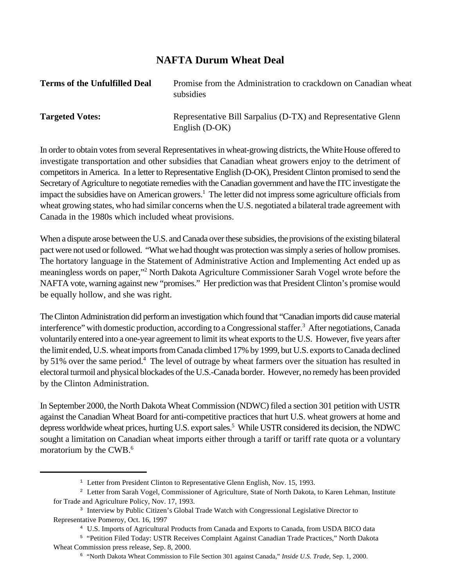#### **NAFTA Durum Wheat Deal**

| <b>Terms of the Unfulfilled Deal</b> | Promise from the Administration to crackdown on Canadian wheat<br>subsidies       |
|--------------------------------------|-----------------------------------------------------------------------------------|
| <b>Targeted Votes:</b>               | Representative Bill Sarpalius (D-TX) and Representative Glenn<br>English $(D-OK)$ |

In order to obtain votes from several Representatives in wheat-growing districts, the White House offered to investigate transportation and other subsidies that Canadian wheat growers enjoy to the detriment of competitors in America. In a letter to Representative English (D-OK), President Clinton promised to send the Secretary of Agriculture to negotiate remedies with the Canadian government and have the ITC investigate the impact the subsidies have on American growers.<sup>1</sup> The letter did not impress some agriculture officials from wheat growing states, who had similar concerns when the U.S. negotiated a bilateral trade agreement with Canada in the 1980s which included wheat provisions.

When a dispute arose between the U.S. and Canada over these subsidies, the provisions of the existing bilateral pact were not used or followed. "What we had thought was protection was simply a series of hollow promises. The hortatory language in the Statement of Administrative Action and Implementing Act ended up as meaningless words on paper,"<sup>2</sup> North Dakota Agriculture Commissioner Sarah Vogel wrote before the NAFTA vote, warning against new "promises." Her prediction was that President Clinton's promise would be equally hollow, and she was right.

The Clinton Administration did perform an investigation which found that "Canadian imports did cause material interference" with domestic production, according to a Congressional staffer.<sup>3</sup> After negotiations, Canada voluntarily entered into a one-year agreement to limit its wheat exports to the U.S. However, five years after the limit ended, U.S. wheat imports from Canada climbed 17% by 1999, but U.S. exports to Canada declined by 51% over the same period.<sup>4</sup> The level of outrage by wheat farmers over the situation has resulted in electoral turmoil and physical blockades of the U.S.-Canada border. However, no remedy has been provided by the Clinton Administration.

In September 2000, the North Dakota Wheat Commission (NDWC) filed a section 301 petition with USTR against the Canadian Wheat Board for anti-competitive practices that hurt U.S. wheat growers at home and depress worldwide wheat prices, hurting U.S. export sales.<sup>5</sup> While USTR considered its decision, the NDWC sought a limitation on Canadian wheat imports either through a tariff or tariff rate quota or a voluntary moratorium by the CWB.6

<sup>&</sup>lt;sup>1</sup> Letter from President Clinton to Representative Glenn English, Nov. 15, 1993.

<sup>&</sup>lt;sup>2</sup> Letter from Sarah Vogel, Commissioner of Agriculture, State of North Dakota, to Karen Lehman, Institute for Trade and Agriculture Policy, Nov. 17, 1993.

<sup>&</sup>lt;sup>3</sup> Interview by Public Citizen's Global Trade Watch with Congressional Legislative Director to Representative Pomeroy, Oct. 16, 1997

U.S. Imports of Agricultural Products from Canada and Exports to Canada, from USDA BICO data <sup>4</sup>

<sup>&</sup>lt;sup>5</sup> "Petition Filed Today: USTR Receives Complaint Against Canadian Trade Practices," North Dakota Wheat Commission press release, Sep. 8, 2000.

<sup>&</sup>lt;sup>6</sup> "North Dakota Wheat Commission to File Section 301 against Canada," *Inside U.S. Trade*, Sep. 1, 2000.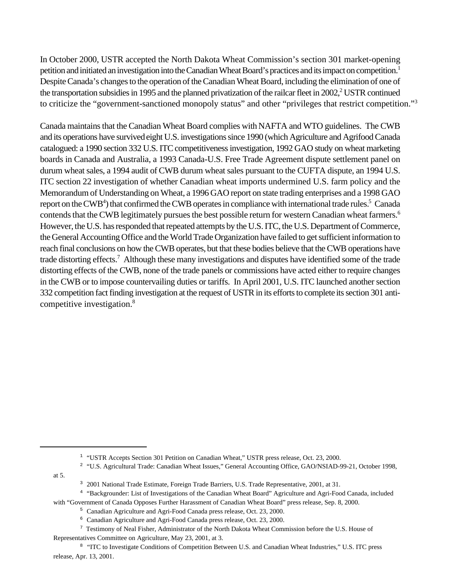In October 2000, USTR accepted the North Dakota Wheat Commission's section 301 market-opening petition and initiated an investigation into the Canadian Wheat Board's practices and its impact on competition.<sup>1</sup> Despite Canada's changes to the operation of the Canadian Wheat Board, including the elimination of one of the transportation subsidies in 1995 and the planned privatization of the railcar fleet in 2002,<sup>2</sup> USTR continued to criticize the "government-sanctioned monopoly status" and other "privileges that restrict competition."<sup>3</sup>

Canada maintains that the Canadian Wheat Board complies with NAFTA and WTO guidelines. The CWB and its operations have survived eight U.S. investigations since 1990 (which Agriculture and Agrifood Canada catalogued: a 1990 section 332 U.S. ITC competitiveness investigation, 1992 GAO study on wheat marketing boards in Canada and Australia, a 1993 Canada-U.S. Free Trade Agreement dispute settlement panel on durum wheat sales, a 1994 audit of CWB durum wheat sales pursuant to the CUFTA dispute, an 1994 U.S. ITC section 22 investigation of whether Canadian wheat imports undermined U.S. farm policy and the Memorandum of Understanding on Wheat, a 1996 GAO report on state trading enterprises and a 1998 GAO report on the CWB<sup>4</sup>) that confirmed the CWB operates in compliance with international trade rules.<sup>5</sup> Canada contends that the CWB legitimately pursues the best possible return for western Canadian wheat farmers.<sup>6</sup> However, the U.S. has responded that repeated attempts by the U.S. ITC, the U.S. Department of Commerce, the General Accounting Office and the World Trade Organization have failed to get sufficient information to reach final conclusions on how the CWB operates, but that these bodies believe that the CWB operations have trade distorting effects.<sup>7</sup> Although these many investigations and disputes have identified some of the trade distorting effects of the CWB, none of the trade panels or commissions have acted either to require changes in the CWB or to impose countervailing duties or tariffs. In April 2001, U.S. ITC launched another section 332 competition fact finding investigation at the request of USTR in its efforts to complete its section 301 anticompetitive investigation.8

at 5.

<sup>4</sup> "Backgrounder: List of Investigations of the Canadian Wheat Board" Agriculture and Agri-Food Canada, included with "Government of Canada Opposes Further Harassment of Canadian Wheat Board" press release, Sep. 8, 2000.

<sup>&</sup>lt;sup>1</sup> "USTR Accepts Section 301 Petition on Canadian Wheat," USTR press release, Oct. 23, 2000.

<sup>&</sup>lt;sup>2</sup> "U.S. Agricultural Trade: Canadian Wheat Issues," General Accounting Office, GAO/NSIAD-99-21, October 1998,

<sup>&</sup>lt;sup>3</sup> 2001 National Trade Estimate, Foreign Trade Barriers, U.S. Trade Representative, 2001, at 31.

<sup>&</sup>lt;sup>5</sup> Canadian Agriculture and Agri-Food Canada press release, Oct. 23, 2000.

<sup>&</sup>lt;sup>6</sup> Canadian Agriculture and Agri-Food Canada press release, Oct. 23, 2000.

Testimony of Neal Fisher, Administrator of the North Dakota Wheat Commission before the U.S. House of <sup>7</sup> Representatives Committee on Agriculture, May 23, 2001, at 3.

<sup>&</sup>lt;sup>8</sup> "ITC to Investigate Conditions of Competition Between U.S. and Canadian Wheat Industries," U.S. ITC press release, Apr. 13, 2001.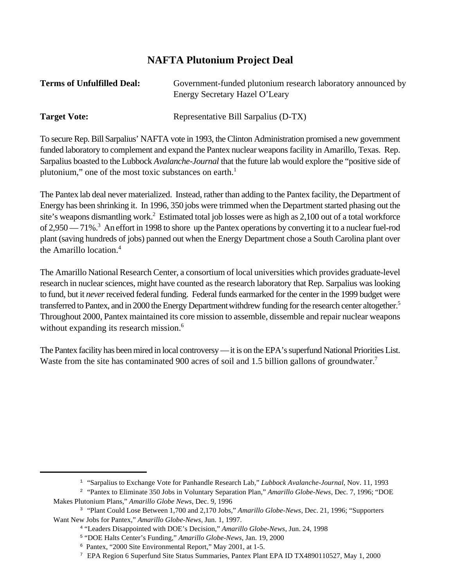### **NAFTA Plutonium Project Deal**

| <b>Terms of Unfulfilled Deal:</b> | Government-funded plutonium research laboratory announced by<br>Energy Secretary Hazel O'Leary             |
|-----------------------------------|------------------------------------------------------------------------------------------------------------|
|                                   |                                                                                                            |
| <b>Target Vote:</b>               | Representative Bill Sarpalius (D-TX)                                                                       |
|                                   | To secure Rep. Bill Sarpalius' NAFTA vote in 1993, the Clinton Administration promised a new government    |
|                                   | funded laboratory to complement and expand the Pantex nuclear weapons facility in Amarillo, Texas. Rep.    |
|                                   | Sarpalius boasted to the Lubbock Avalanche-Journal that the future lab would explore the "positive side of |

The Pantex lab deal never materialized. Instead, rather than adding to the Pantex facility, the Department of Energy has been shrinking it. In 1996, 350 jobs were trimmed when the Department started phasing out the site's weapons dismantling work.<sup>2</sup> Estimated total job losses were as high as 2,100 out of a total workforce of 2,950 — 71%.<sup>3</sup> An effort in 1998 to shore up the Pantex operations by converting it to a nuclear fuel-rod plant (saving hundreds of jobs) panned out when the Energy Department chose a South Carolina plant over the Amarillo location.<sup>4</sup>

plutonium," one of the most toxic substances on earth.<sup>1</sup>

The Amarillo National Research Center, a consortium of local universities which provides graduate-level research in nuclear sciences, might have counted as the research laboratory that Rep. Sarpalius was looking to fund, but it *never* received federal funding. Federal funds earmarked for the center in the 1999 budget were transferred to Pantex, and in 2000 the Energy Department withdrew funding for the research center altogether.<sup>5</sup> Throughout 2000, Pantex maintained its core mission to assemble, dissemble and repair nuclear weapons without expanding its research mission.<sup>6</sup>

The Pantex facility has been mired in local controversy — it is on the EPA's superfund National Priorities List. Waste from the site has contaminated 900 acres of soil and 1.5 billion gallons of groundwater.<sup>7</sup>

<sup>&</sup>lt;sup>1</sup> "Sarpalius to Exchange Vote for Panhandle Research Lab," *Lubbock Avalanche-Journal*, Nov. 11, 1993

<sup>&</sup>lt;sup>2</sup> "Pantex to Eliminate 350 Jobs in Voluntary Separation Plan," *Amarillo Globe-News*, Dec. 7, 1996; "DOE Makes Plutonium Plans," *Amarillo Globe News*, Dec. 9, 1996

<sup>&</sup>lt;sup>3</sup> "Plant Could Lose Between 1,700 and 2,170 Jobs," *Amarillo Globe-News*, Dec. 21, 1996; "Supporters Want New Jobs for Pantex," *Amarillo Globe-News,* Jun. 1, 1997.

<sup>&</sup>lt;sup>4</sup> "Leaders Disappointed with DOE's Decision," *Amarillo Globe-News*, Jun. 24, 1998

<sup>&</sup>lt;sup>5</sup> "DOE Halts Center's Funding," Amarillo Globe-News, Jan. 19, 2000

<sup>&</sup>lt;sup>6</sup> Pantex, "2000 Site Environmental Report," May 2001, at 1-5.

<sup>&</sup>lt;sup>7</sup> EPA Region 6 Superfund Site Status Summaries, Pantex Plant EPA ID TX4890110527, May 1, 2000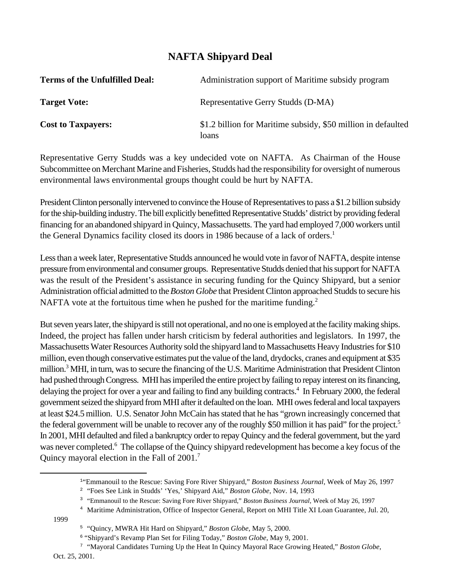### **NAFTA Shipyard Deal**

| <b>Terms of the Unfulfilled Deal:</b> | Administration support of Maritime subsidy program                     |
|---------------------------------------|------------------------------------------------------------------------|
| <b>Target Vote:</b>                   | Representative Gerry Studds (D-MA)                                     |
| <b>Cost to Taxpayers:</b>             | \$1.2 billion for Maritime subsidy, \$50 million in defaulted<br>loans |

Representative Gerry Studds was a key undecided vote on NAFTA. As Chairman of the House Subcommittee on Merchant Marine and Fisheries, Studds had the responsibility for oversight of numerous environmental laws environmental groups thought could be hurt by NAFTA.

President Clinton personally intervened to convince the House of Representatives to pass a \$1.2 billion subsidy for the ship-building industry.The bill explicitly benefitted Representative Studds' district by providing federal financing for an abandoned shipyard in Quincy, Massachusetts. The yard had employed 7,000 workers until the General Dynamics facility closed its doors in 1986 because of a lack of orders. 1

Less than a week later, Representative Studds announced he would vote in favor of NAFTA, despite intense pressure from environmental and consumer groups. Representative Studds denied that his support for NAFTA was the result of the President's assistance in securing funding for the Quincy Shipyard, but a senior Administration official admitted to the *Boston Globe* that President Clinton approached Studds to secure his NAFTA vote at the fortuitous time when he pushed for the maritime funding.<sup>2</sup>

But seven years later, the shipyard is still not operational, and no one is employed at the facility making ships. Indeed, the project has fallen under harsh criticism by federal authorities and legislators. In 1997, the Massachusetts Water Resources Authority sold the shipyard land to Massachusetts Heavy Industries for \$10 million, even though conservative estimates put the value of the land, drydocks, cranes and equipment at \$35 million.<sup>3</sup> MHI, in turn, was to secure the financing of the U.S. Maritime Administration that President Clinton had pushed through Congress. MHI has imperiled the entire project by failing to repay interest on its financing, delaying the project for over a year and failing to find any building contracts.<sup>4</sup> In February 2000, the federal government seized the shipyard from MHI after it defaulted on the loan. MHI owes federal and local taxpayers at least \$24.5 million. U.S. Senator John McCain has stated that he has "grown increasingly concerned that the federal government will be unable to recover any of the roughly \$50 million it has paid" for the project.<sup>5</sup> In 2001, MHI defaulted and filed a bankruptcy order to repay Quincy and the federal government, but the yard was never completed.<sup>6</sup> The collapse of the Quincy shipyard redevelopment has become a key focus of the Quincy mayoral election in the Fall of 2001.7

1999

<sup>&</sup>lt;sup>1</sup>"Emmanouil to the Rescue: Saving Fore River Shipyard," *Boston Business Journal*, Week of May 26, 1997

<sup>&</sup>lt;sup>2</sup> "Foes See Link in Studds' 'Yes,' Shipyard Aid," *Boston Globe*, Nov. 14, 1993

<sup>&</sup>lt;sup>3</sup> "Emmanouil to the Rescue: Saving Fore River Shipyard," *Boston Business Journal*, Week of May 26, 1997

<sup>&</sup>lt;sup>4</sup> Maritime Administration, Office of Inspector General, Report on MHI Title XI Loan Guarantee, Jul. 20,

<sup>&</sup>lt;sup>5</sup> "Quincy, MWRA Hit Hard on Shipyard," *Boston Globe*, May 5, 2000.

<sup>&</sup>lt;sup>6</sup> "Shipyard's Revamp Plan Set for Filing Today," *Boston Globe*, May 9, 2001.

<sup>&</sup>lt;sup>7</sup> "Mayoral Candidates Turning Up the Heat In Quincy Mayoral Race Growing Heated," Boston Globe,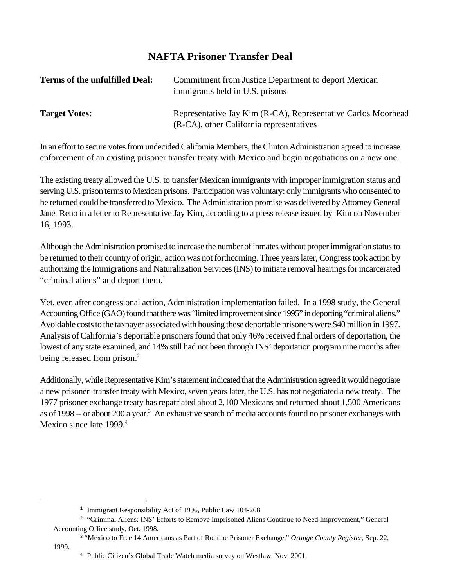### **NAFTA Prisoner Transfer Deal**

| <b>Terms of the unfulfilled Deal:</b> | Commitment from Justice Department to deport Mexican<br>immigrants held in U.S. prisons                   |
|---------------------------------------|-----------------------------------------------------------------------------------------------------------|
| <b>Target Votes:</b>                  | Representative Jay Kim (R-CA), Representative Carlos Moorhead<br>(R-CA), other California representatives |

In an effort to secure votes from undecided California Members, the Clinton Administration agreed to increase enforcement of an existing prisoner transfer treaty with Mexico and begin negotiations on a new one.

The existing treaty allowed the U.S. to transfer Mexican immigrants with improper immigration status and serving U.S. prison terms to Mexican prisons. Participation was voluntary: only immigrants who consented to be returned could be transferred to Mexico. The Administration promise was delivered by Attorney General Janet Reno in a letter to Representative Jay Kim, according to a press release issued by Kim on November 16, 1993.

Although the Administration promised to increase the number of inmates without proper immigration status to be returned to their country of origin, action was not forthcoming. Three years later, Congress took action by authorizing the Immigrations and Naturalization Services (INS) to initiate removal hearings for incarcerated "criminal aliens" and deport them.<sup>1</sup>

Yet, even after congressional action, Administration implementation failed. In a 1998 study, the General Accounting Office (GAO) found that there was "limited improvement since 1995" in deporting "criminal aliens." Avoidable costs to the taxpayer associated with housing these deportable prisoners were \$40 million in 1997. Analysis of California's deportable prisoners found that only 46% received final orders of deportation, the lowest of any state examined, and 14% still had not been through INS' deportation program nine months after being released from prison.<sup>2</sup>

Additionally, while Representative Kim's statement indicated that the Administration agreed it would negotiate a new prisoner transfer treaty with Mexico, seven years later, the U.S. has not negotiated a new treaty. The 1977 prisoner exchange treaty has repatriated about 2,100 Mexicans and returned about 1,500 Americans as of 1998 -- or about 200 a year.<sup>3</sup> An exhaustive search of media accounts found no prisoner exchanges with Mexico since late 1999.<sup>4</sup>

<sup>&</sup>lt;sup>1</sup> Immigrant Responsibility Act of 1996, Public Law 104-208

<sup>&</sup>lt;sup>2</sup> "Criminal Aliens: INS' Efforts to Remove Imprisoned Aliens Continue to Need Improvement," General Accounting Office study, Oct. 1998.

<sup>&</sup>lt;sup>3</sup> "Mexico to Free 14 Americans as Part of Routine Prisoner Exchange," Orange County Register, Sep. 22,

<sup>1999.</sup>

<sup>&</sup>lt;sup>4</sup> Public Citizen's Global Trade Watch media survey on Westlaw, Nov. 2001.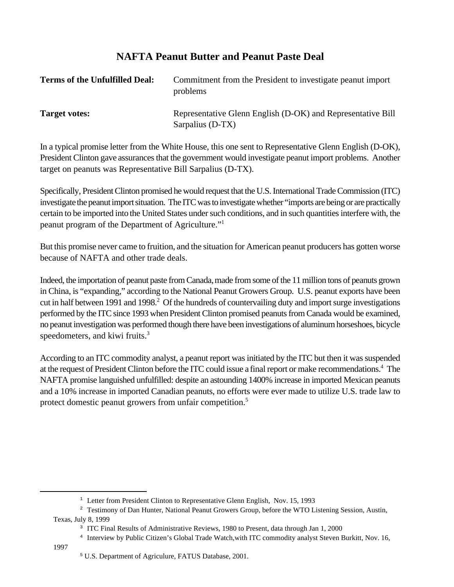### **NAFTA Peanut Butter and Peanut Paste Deal**

| <b>Terms of the Unfulfilled Deal:</b> | Commitment from the President to investigate peanut import<br>problems          |
|---------------------------------------|---------------------------------------------------------------------------------|
| <b>Target votes:</b>                  | Representative Glenn English (D-OK) and Representative Bill<br>Sarpalius (D-TX) |

In a typical promise letter from the White House, this one sent to Representative Glenn English (D-OK), President Clinton gave assurances that the government would investigate peanut import problems. Another target on peanuts was Representative Bill Sarpalius (D-TX).

Specifically, President Clinton promised he would request that the U.S. International Trade Commission (ITC) investigate the peanut import situation. The ITC was to investigate whether "imports are being or are practically certain to be imported into the United States under such conditions, and in such quantities interfere with, the peanut program of the Department of Agriculture."<sup>1</sup>

But this promise never came to fruition, and the situation for American peanut producers has gotten worse because of NAFTA and other trade deals.

Indeed, the importation of peanut paste from Canada, made from some of the 11 million tons of peanuts grown in China, is "expanding," according to the National Peanut Growers Group. U.S. peanut exports have been cut in half between 1991 and 1998.<sup>2</sup> Of the hundreds of countervailing duty and import surge investigations performed by the ITC since 1993 when President Clinton promised peanuts from Canada would be examined, no peanut investigation was performed though there have been investigations of aluminum horseshoes, bicycle speedometers, and kiwi fruits.<sup>3</sup>

According to an ITC commodity analyst, a peanut report was initiated by the ITC but then it was suspended at the request of President Clinton before the ITC could issue a final report or make recommendations.<sup>4</sup> The NAFTA promise languished unfulfilled: despite an astounding 1400% increase in imported Mexican peanuts and a 10% increase in imported Canadian peanuts, no efforts were ever made to utilize U.S. trade law to protect domestic peanut growers from unfair competition.5

1997

<sup>&</sup>lt;sup>1</sup> Letter from President Clinton to Representative Glenn English, Nov. 15, 1993

<sup>&</sup>lt;sup>2</sup> Testimony of Dan Hunter, National Peanut Growers Group, before the WTO Listening Session, Austin, Texas, July 8, 1999

<sup>&</sup>lt;sup>3</sup> ITC Final Results of Administrative Reviews, 1980 to Present, data through Jan 1, 2000

<sup>&</sup>lt;sup>4</sup> Interview by Public Citizen's Global Trade Watch, with ITC commodity analyst Steven Burkitt, Nov. 16,

<sup>&</sup>lt;sup>5</sup> U.S. Department of Agriculure, FATUS Database, 2001.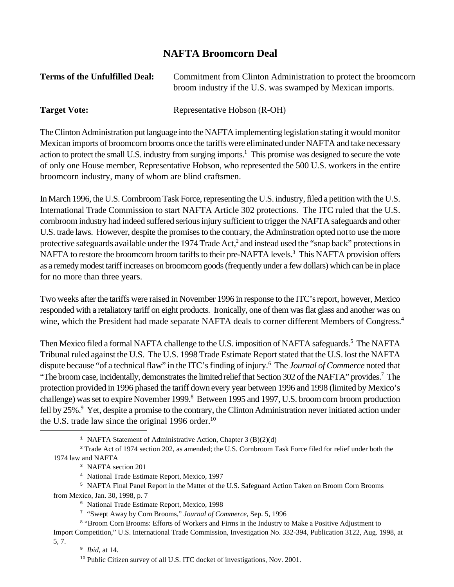#### **NAFTA Broomcorn Deal**

| <b>Terms of the Unfulfilled Deal:</b> | Commitment from Clinton Administration to protect the broomcorn |
|---------------------------------------|-----------------------------------------------------------------|
|                                       | broom industry if the U.S. was swamped by Mexican imports.      |
|                                       |                                                                 |

**Target Vote:** Representative Hobson (R-OH)

The Clinton Administration put language into the NAFTA implementing legislation stating it would monitor Mexican imports of broomcorn brooms once the tariffs were eliminated under NAFTA and take necessary action to protect the small U.S. industry from surging imports.<sup>1</sup> This promise was designed to secure the vote of only one House member, Representative Hobson, who represented the 500 U.S. workers in the entire broomcorn industry, many of whom are blind craftsmen.

In March 1996, the U.S. Cornbroom Task Force, representing the U.S. industry, filed a petition with the U.S. International Trade Commission to start NAFTA Article 302 protections. The ITC ruled that the U.S. cornbroom industry had indeed suffered serious injury sufficient to trigger the NAFTA safeguards and other U.S. trade laws. However, despite the promises to the contrary, the Adminstration opted not to use the more protective safeguards available under the 1974 Trade Act,<sup>2</sup> and instead used the "snap back" protections in NAFTA to restore the broomcorn broom tariffs to their pre-NAFTA levels.<sup>3</sup> This NAFTA provision offers as a remedy modest tariff increases on broomcorn goods (frequently under a few dollars) which can be in place for no more than three years.

Two weeks after the tariffs were raised in November 1996 in response to the ITC's report, however, Mexico responded with a retaliatory tariff on eight products. Ironically, one of them was flat glass and another was on wine, which the President had made separate NAFTA deals to corner different Members of Congress.<sup>4</sup>

Then Mexico filed a formal NAFTA challenge to the U.S. imposition of NAFTA safeguards.<sup>5</sup> The NAFTA Tribunal ruled against the U.S. The U.S. 1998 Trade Estimate Report stated that the U.S. lost the NAFTA dispute because "of a technical flaw" in the ITC's finding of injury.<sup>6</sup> The *Journal of Commerce* noted that "The broom case, incidentally, demonstrates the limited relief that Section 302 of the NAFTA" provides.<sup>7</sup> The protection provided in 1996 phased the tariff down every year between 1996 and 1998 (limited by Mexico's challenge) was set to expire November 1999.<sup>8</sup> Between 1995 and 1997, U.S. broom corn broom production fell by 25%.<sup>9</sup> Yet, despite a promise to the contrary, the Clinton Administration never initiated action under the U.S. trade law since the original 1996 order.<sup>10</sup>

<sup>&</sup>lt;sup>1</sup> NAFTA Statement of Administrative Action, Chapter 3 (B)(2)(d)

<sup>&</sup>lt;sup>2</sup> Trade Act of 1974 section 202, as amended; the U.S. Cornbroom Task Force filed for relief under both the 1974 law and NAFTA

<sup>&</sup>lt;sup>3</sup> NAFTA section 201

<sup>&</sup>lt;sup>4</sup> National Trade Estimate Report, Mexico, 1997

<sup>&</sup>lt;sup>5</sup> NAFTA Final Panel Report in the Matter of the U.S. Safeguard Action Taken on Broom Corn Brooms from Mexico, Jan. 30, 1998, p. 7

<sup>&</sup>lt;sup>6</sup> National Trade Estimate Report, Mexico, 1998

<sup>&</sup>lt;sup>7</sup> "Swept Away by Corn Brooms," *Journal of Commerce*, Sep. 5, 1996

<sup>&</sup>lt;sup>8</sup> "Broom Corn Brooms: Efforts of Workers and Firms in the Industry to Make a Positive Adjustment to Import Competition," U.S. International Trade Commission, Investigation No. 332-394, Publication 3122, Aug. 1998, at 5, 7.

<sup>&</sup>lt;sup>9</sup> *Ibid.* at 14.

 $10$  Public Citizen survey of all U.S. ITC docket of investigations, Nov. 2001.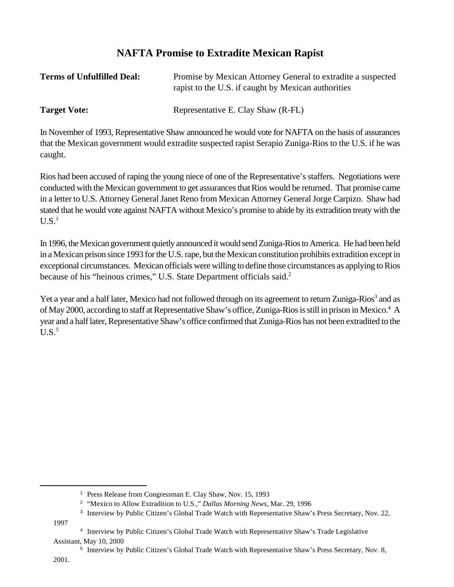#### **NAFTA Promise to Extradite Mexican Rapist**

| <b>Terms of Unfulfilled Deal:</b> | Promise by Mexican Attorney General to extradite a suspected<br>rapist to the U.S. if caught by Mexican authorities |
|-----------------------------------|---------------------------------------------------------------------------------------------------------------------|
| <b>Target Vote:</b>               | Representative E. Clay Shaw (R-FL)                                                                                  |

In November of 1993, Representative Shaw announced he would vote for NAFTA on the basis of assurances that the Mexican government would extradite suspected rapist Serapio Zuniga-Rios to the U.S. if he was caught.

Rios had been accused of raping the young niece of one of the Representative's staffers. Negotiations were conducted with the Mexican government to get assurances that Rios would be returned. That promise came in a letter to U.S. Attorney General Janet Reno from Mexican Attorney General Jorge Carpizo. Shaw had stated that he would vote against NAFTA without Mexico's promise to abide by its extradition treaty with the  $U.S.<sup>1</sup>$ 

In 1996, the Mexican government quietly announced it would send Zuniga-Rios to America. He had been held in a Mexican prison since 1993 for the U.S. rape, but the Mexican constitution prohibits extradition except in exceptional circumstances. Mexican officials were willing to define those circumstances as applying to Rios because of his "heinous crimes," U.S. State Department officials said.<sup>2</sup>

Yet a year and a half later, Mexico had not followed through on its agreement to return Zuniga-Rios<sup>3</sup> and as of May 2000, according to staff at Representative Shaw's office, Zuniga-Rios is still in prison in Mexico.<sup>4</sup> A year and a half later, Representative Shaw's office confirmed that Zuniga-Rios has not been extradited to the  $U.S.<sup>5</sup>$ 

1997

<sup>&</sup>lt;sup>1</sup> Press Release from Congressman E. Clay Shaw, Nov. 15, 1993

<sup>&</sup>lt;sup>2</sup> "Mexico to Allow Extradition to U.S.," *Dallas Morning News*, Mar. 29, 1996

<sup>&</sup>lt;sup>3</sup> Interview by Public Citizen's Global Trade Watch with Representative Shaw's Press Secretary, Nov. 22,

<sup>&</sup>lt;sup>4</sup> Interview by Public Citizen's Global Trade Watch with Representative Shaw's Trade Legislative Assistant, May 10, 2000

<sup>&</sup>lt;sup>5</sup> Interview by Public Citizen's Global Trade Watch with Representative Shaw's Press Secretary, Nov. 8,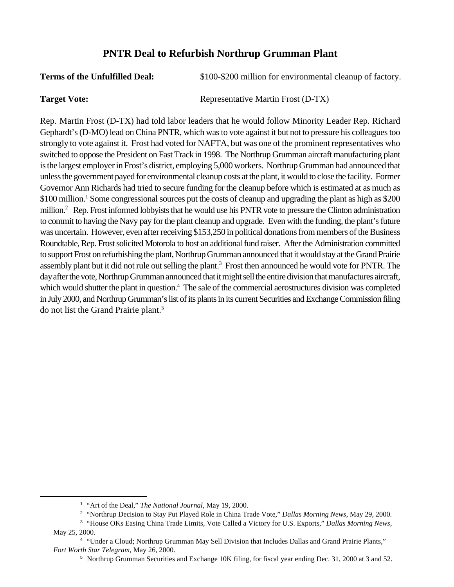#### **PNTR Deal to Refurbish Northrup Grumman Plant**

**Terms of the Unfulfilled Deal:**  $$100-$200$  million for environmental cleanup of factory.

**Target Vote:** Representative Martin Frost (D-TX)

Rep. Martin Frost (D-TX) had told labor leaders that he would follow Minority Leader Rep. Richard Gephardt's (D-MO) lead on China PNTR, which was to vote against it but not to pressure his colleagues too strongly to vote against it. Frost had voted for NAFTA, but was one of the prominent representatives who switched to oppose the President on Fast Track in 1998. The Northrup Grumman aircraft manufacturing plant is the largest employer in Frost's district, employing 5,000 workers. Northrup Grumman had announced that unless the government payed for environmental cleanup costs at the plant, it would to close the facility. Former Governor Ann Richards had tried to secure funding for the cleanup before which is estimated at as much as \$100 million.<sup>1</sup> Some congressional sources put the costs of cleanup and upgrading the plant as high as \$200 million. $^2$  Rep. Frost informed lobbyists that he would use his PNTR vote to pressure the Clinton administration to commit to having the Navy pay for the plant cleanup and upgrade. Even with the funding, the plant's future was uncertain. However, even after receiving \$153,250 in political donations from members of the Business Roundtable, Rep. Frost solicited Motorola to host an additional fund raiser. After the Administration committed to support Frost on refurbishing the plant, Northrup Grumman announced that it would stay at the Grand Prairie assembly plant but it did not rule out selling the plant.<sup>3</sup> Frost then announced he would vote for PNTR. The day after the vote, Northrup Grumman announced that it might sell the entire division that manufactures aircraft, which would shutter the plant in question.<sup>4</sup> The sale of the commercial aerostructures division was completed in July 2000, and Northrup Grumman's list of its plants in its current Securities and Exchange Commission filing do not list the Grand Prairie plant.5

<sup>&</sup>lt;sup>1</sup> "Art of the Deal," *The National Journal*, May 19, 2000.

<sup>&</sup>lt;sup>2</sup> "Northrup Decision to Stay Put Played Role in China Trade Vote," *Dallas Morning News*, May 29, 2000.

<sup>&</sup>lt;sup>3</sup> "House OKs Easing China Trade Limits, Vote Called a Victory for U.S. Exports," *Dallas Morning News*, May 25, 2000.

<sup>&</sup>quot;Under a Cloud; Northrup Grumman May Sell Division that Includes Dallas and Grand Prairie Plants," <sup>4</sup> *Fort Worth Star Telegram*, May 26, 2000.

<sup>&</sup>lt;sup>5</sup> Northrup Grumman Securities and Exchange 10K filing, for fiscal year ending Dec. 31, 2000 at 3 and 52.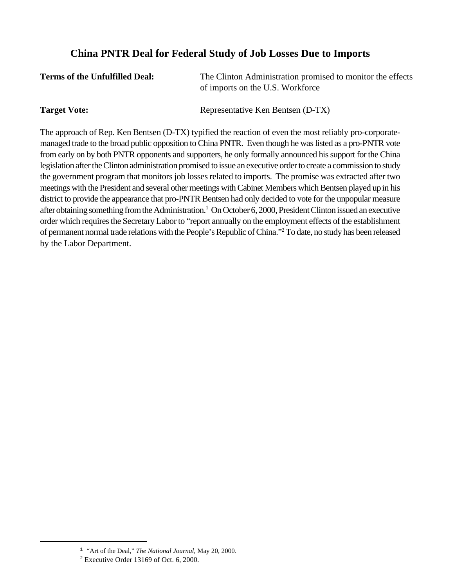#### **China PNTR Deal for Federal Study of Job Losses Due to Imports**

| <b>Terms of the Unfulfilled Deal:</b> | The Clinton Administration promised to monitor the effects |
|---------------------------------------|------------------------------------------------------------|
|                                       | of imports on the U.S. Workforce                           |

**Target Vote:** Representative Ken Bentsen (D-TX)

The approach of Rep. Ken Bentsen (D-TX) typified the reaction of even the most reliably pro-corporatemanaged trade to the broad public opposition to China PNTR. Even though he was listed as a pro-PNTR vote from early on by both PNTR opponents and supporters, he only formally announced his support for the China legislation after the Clinton administration promised to issue an executive order to create a commission to study the government program that monitors job losses related to imports. The promise was extracted after two meetings with the President and several other meetings with Cabinet Members which Bentsen played up in his district to provide the appearance that pro-PNTR Bentsen had only decided to vote for the unpopular measure after obtaining something from the Administration.<sup>1</sup> On October 6, 2000, President Clinton issued an executive order which requires the Secretary Labor to "report annually on the employment effects of the establishment of permanent normal trade relations with the People's Republic of China."<sup>2</sup> To date, no study has been released by the Labor Department.

<sup>&</sup>lt;sup>1</sup> "Art of the Deal," *The National Journal*, May 20, 2000.

 $2$  Executive Order 13169 of Oct. 6, 2000.